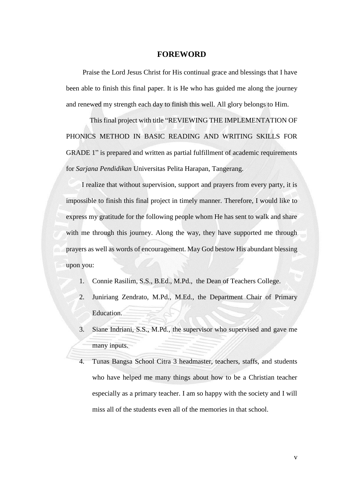#### **FOREWORD**

<span id="page-0-0"></span>Praise the Lord Jesus Christ for His continual grace and blessings that I have been able to finish this final paper. It is He who has guided me along the journey and renewed my strength each day to finish this well. All glory belongs to Him.

This final project with title "REVIEWING THE IMPLEMENTATION OF PHONICS METHOD IN BASIC READING AND WRITING SKILLS FOR GRADE 1" is prepared and written as partial fulfillment of academic requirements for *Sarjana Pendidikan* Universitas Pelita Harapan, Tangerang.

I realize that without supervision, support and prayers from every party, it is impossible to finish this final project in timely manner. Therefore, I would like to express my gratitude for the following people whom He has sent to walk and share with me through this journey. Along the way, they have supported me through prayers as well as words of encouragement. May God bestow His abundant blessing upon you:

- 1. Connie Rasilim, S.S., B.Ed., M.Pd., the Dean of Teachers College.
- 2. Juniriang Zendrato, M.Pd., M.Ed., the Department Chair of Primary Education.
- 3. Siane Indriani, S.S., M.Pd., the supervisor who supervised and gave me many inputs.
- 4. Tunas Bangsa School Citra 3 headmaster, teachers, staffs, and students who have helped me many things about how to be a Christian teacher especially as a primary teacher. I am so happy with the society and I will miss all of the students even all of the memories in that school.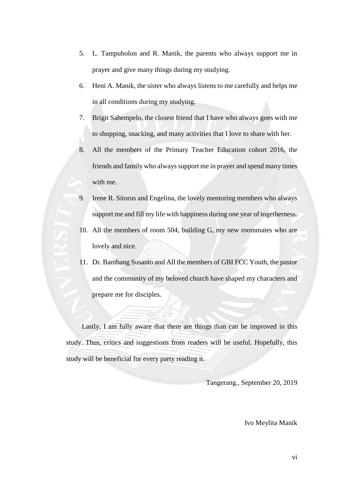- 5. L. Tampubolon and R. Manik, the parents who always support me in prayer and give many things during my studying.
- 6. Heni A. Manik, the sister who always listens to me carefully and helps me in all conditions during my studying.
- 7. Brigit Sahempelo, the closest friend that I have who always goes with me to shopping, snacking, and many activities that I love to share with her.
- 8. All the members of the Primary Teacher Education cohort 2016, the friends and family who always support me in prayer and spend many times with me.
- 9. Irene R. Sitorus and Engelina, the lovely mentoring members who always support me and fill my life with happiness during one year of togetherness.
- 10. All the members of room 504, building G, my new roommates who are lovely and nice.
- 11. Dr. Bambang Susanto and All the members of GBI FCC Youth, the pastor and the community of my beloved church have shaped my characters and prepare me for disciples.

Lastly, I am fully aware that there are things than can be improved in this study. Thus, critics and suggestions from readers will be useful. Hopefully, this study will be beneficial for every party reading it.

Tangerang., September 20, 2019

Ivo Meylita Manik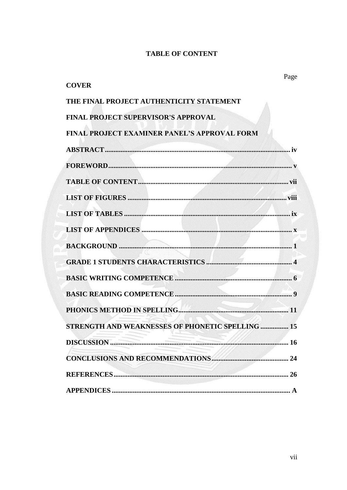#### **TABLE OF CONTENT**

<span id="page-2-0"></span>

| Page<br><b>COVER</b>                                    |
|---------------------------------------------------------|
| THE FINAL PROJECT AUTHENTICITY STATEMENT                |
| <b>FINAL PROJECT SUPERVISOR'S APPROVAL</b>              |
| <b>FINAL PROJECT EXAMINER PANEL'S APPROVAL FORM</b>     |
|                                                         |
|                                                         |
|                                                         |
|                                                         |
| ix                                                      |
|                                                         |
|                                                         |
|                                                         |
|                                                         |
|                                                         |
|                                                         |
| <b>STRENGTH AND WEAKNESSES OF PHONETIC SPELLING  15</b> |
|                                                         |
|                                                         |
|                                                         |
|                                                         |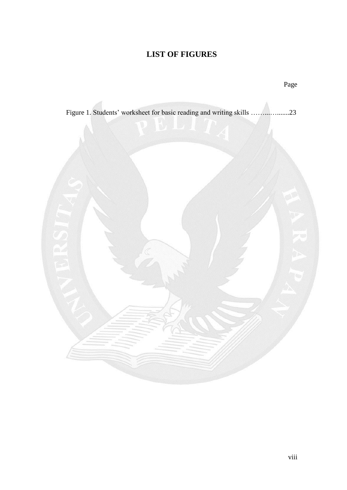# **LIST OF FIGURES**

<span id="page-3-0"></span>

Page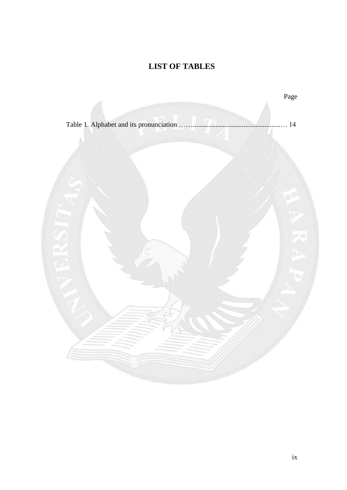# **LIST OF TABLES**

<span id="page-4-0"></span>